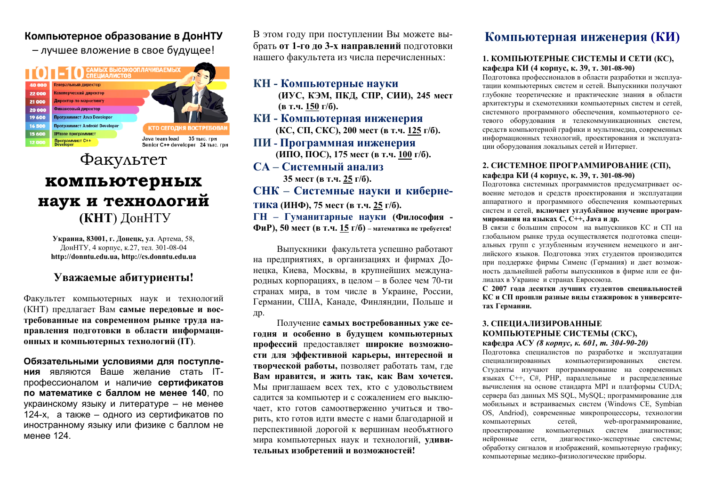### Компьютерное образование в ДонНТУ

- лучшее вложение в свое будущее!



# Факультет компьютерных наук и технологий (КНТ) ДонНТУ

Украина, 83001, г. Донецк, ул. Артема, 58, ДонНТУ, 4 корпус, к.27, тел. 301-08-04 http://donntu.edu.ua, http://cs.donntu.edu.ua

## Уважаемые абитуриенты!

Факультет компьютерных наук и технологий (КНТ) предлагает Вам самые передовые и востребованные на современном рынке труда направления подготовки в области информационных и компьютерных технологий (IT).

Обязательными условиями для поступления являются Ваше желание стать ITпрофессионалом и наличие сертификатов по математике с баллом не менее 140, по украинскому языку и литературе - не менее 124-х, а также - одного из сертификатов по иностранному языку или физике с баллом не менее 124

В этом году при поступлении Вы можете выбрать от 1-го до 3-х направлений подготовки нашего факультета из числа перечисленных:

### КН - Компьютерные науки

(ИУС, КЭМ, ПКД, СПР, СИИ), 245 мест (в т.ч. 150 г/б).

КИ - Компьютерная инженерия (КС, СП, СКС), 200 мест (в т.ч. 125 г/б).

ПИ - Программная инженерия (ИПО, ПОС), 175 мест (в т.ч. 100 г/б).

СА – Системный анализ 35 мест (в т.ч. 25 г/б).

### СНК - Системные науки и киберне-

ТИКА (ИНФ), 75 мест (в т.ч. 25 г/б).

ГН - Гуманитарные науки (Философия -

ФиР), 50 мест (в т.ч. 15 г/б) – математика не требуется!

Выпускники факультета успешно работают на предприятиях, в организациях и фирмах Донецка, Киева, Москвы, в крупнейших международных корпорациях, в целом - в более чем 70-ти странах мира, в том числе в Украине, России, Германии, США, Канаде, Финляндии, Польше и Дp.

Получение самых востребованных уже сегодня и особенно в будущем компьютерных профессий предоставляет широкие возможности для эффективной карьеры, интересной и творческой работы, позволяет работать там, где Вам нравится, и жить так, как Вам хочется. Мы приглашаем всех тех, кто с удовольствием садится за компьютер и с сожалением его выключает, кто готов самоотверженно учиться и творить, кто готов идти вместе с нами благодарной и перспективной дорогой к вершинам необъятного мира компьютерных наук и технологий, удивительных изобретений и возможностей!

## Компьютерная инженерия (КИ)

#### 1. КОМПЬЮТЕРНЫЕ СИСТЕМЫ И СЕТИ (КС), кафедра КИ (4 корпус, к. 39, т. 301-08-90)

Подготовка профессионалов в области разработки и эксплуатации компьютерных систем и сетей. Выпускники получают глубокие теоретические и практические знания в области архитектуры и схемотехники компьютерных систем и сетей, системного программного обеспечения, компьютерного сетевого оборудования и телекоммуникационных систем, средств компьютерной графики и мультимедиа, современных информационных технологий, проектирования и эксплуатации оборудования локальных сетей и Интернет.

#### 2. СИСТЕМНОЕ ПРОГРАММИРОВАНИЕ (СП), кафедра КИ (4 корпус, к. 39, т. 301-08-90)

Подготовка системных программистов предусматривает освоение методов и средств проектирования и эксплуатации аппаратного и программного обеспечения компьютерных систем и сетей, включает углублённое изучение программирования на языках C, C++, Java и др.

В связи с большим спросом на выпускников КС и СП на глобальном рынке труда осуществляется подготовка специальных групп с углубленным изучением немецкого и английского языков. Полготовка этих студентов производится при поддержке фирмы Сименс (Германия) и дает возможность дальнейшей работы выпускников в фирме или ее филиалах в Украине и странах Евросоюза.

С 2007 года десятки лучших студентов специальностей КС и СП прошли разные виды стажировок в университетах Германии.

#### 3. СПЕЦИАЛИЗИРОВАННЫЕ КОМПЬЮТЕРНЫЕ СИСТЕМЫ (СКС), кафедра АСУ (8 корпус, к. 601, т. 304-90-20)

Подготовка специалистов по разработке и эксплуатации специализированных компьютеризированных систем. Студенты изучают программирование на современных языках С++, С#, РНР, параллельные и распределенные вычисления на основе стандарта MPI и платформы CUDA; сервера баз данных MS SOL, MySOL; программирование для мобильных и встраиваемых систем (Windows CE, Symbian OS, Andriod), современные микропроцессоры, технологии компьютерных сетей. web-программирование, проектирование компьютерных систем диагностики; нейронные сети, диагностико-экспертные системы: обработку сигналов и изображений, компьютерную графику; компьютерные медико-физиологические приборы.